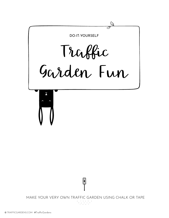

MAKE YOUR VERY OWN TRAFFIC GARDEN USING CHALK OR TAPE  $\label{eq:2} \frac{1}{2}\left(\frac{1}{2}\right)^{2} \left(\frac{1}{2}\right)^{2} \left(\frac{1}{2}\right)^{2} \left(\frac{1}{2}\right)^{2}$ 

ြ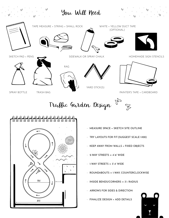

Traffic Garden Design





- · MEASURE SPACE + SKETCH SITE OUTLINE
- · TRY LAYOUTS FOR FIT (SUGGEST SCALE 1:100)
- · KEEP AWAY FROM WALLS + FIXED OBJECTS
- $\cdot$  2-WAY STREETS = 4'-6' WIDE
- $\cdot$  1-WAY STREETS = 3'-4' WIDE
- · ROUNDABOUTS = 1-WAY, COUNTERCLOCKWISE
- · INSIDE BENDS/CORNERS = 3'+ RADIUS
- · ARROWS FOR SIDES & DIRECTION
-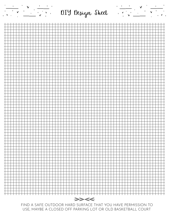

FIND A SAFE OUTDOOR HARD SURFACE THAT YOU HAVE PERMISSION TO USE, MAYBE A CLOSED OFF PARKING LOT OR OLD BASKETBALL COURT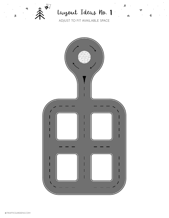

 $\underline{\mu}$ 

## Layout Ideas No. 1

 $\underline{\mathscr{U}}$ 

 $\mathbb Z$ 

จ

 $\bar{\mathbf{r}}$ 

ADJUST TO FIT AVAILABLE SPACE

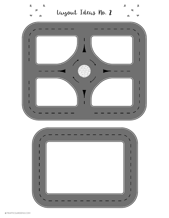

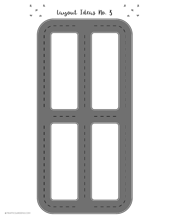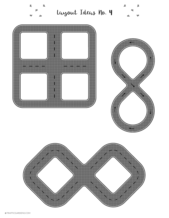